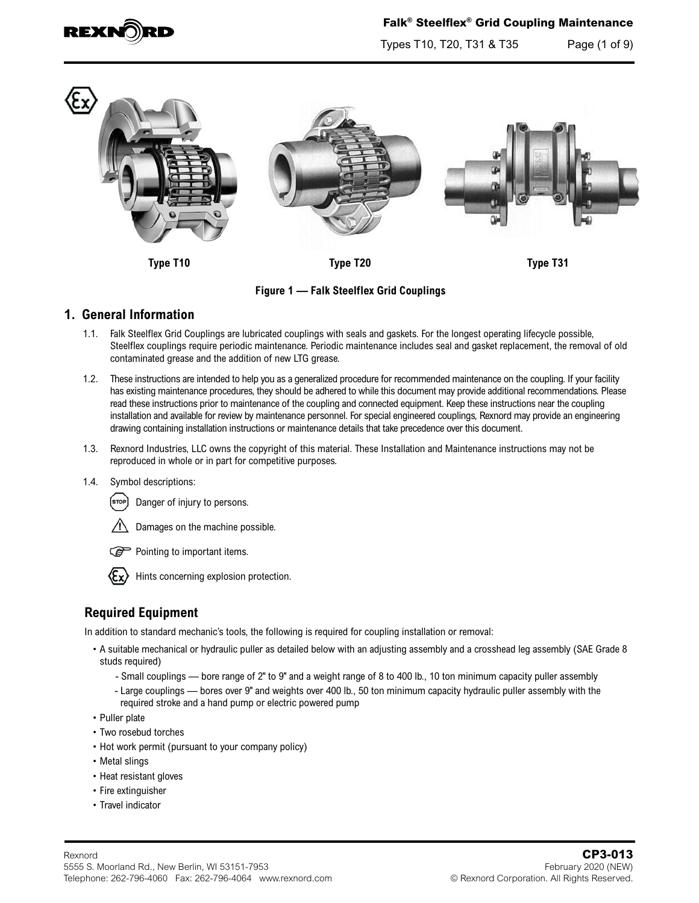

Types T10, T20, T31 & T35 Page (1 of 9)



**Figure 1 — Falk Steelflex Grid Couplings**

## **1. General Information**

- 1.1. Falk Steelflex Grid Couplings are lubricated couplings with seals and gaskets. For the longest operating lifecycle possible, Steelflex couplings require periodic maintenance. Periodic maintenance includes seal and gasket replacement, the removal of old contaminated grease and the addition of new LTG grease.
- 1.2. These instructions are intended to help you as a generalized procedure for recommended maintenance on the coupling. If your facility has existing maintenance procedures, they should be adhered to while this document may provide additional recommendations. Please read these instructions prior to maintenance of the coupling and connected equipment. Keep these instructions near the coupling installation and available for review by maintenance personnel. For special engineered couplings, Rexnord may provide an engineering drawing containing installation instructions or maintenance details that take precedence over this document.
- 1.3. Rexnord Industries, LLC owns the copyright of this material. These Installation and Maintenance instructions may not be reproduced in whole or in part for competitive purposes.
- 1.4. Symbol descriptions:



- Damages on the machine possible.
- Pointing to important items.



Hints concerning explosion protection.

# **Required Equipment**

In addition to standard mechanic's tools, the following is required for coupling installation or removal:

- A suitable mechanical or hydraulic puller as detailed below with an adjusting assembly and a crosshead leg assembly (SAE Grade 8 studs required)
	- Small couplings bore range of 2" to 9" and a weight range of 8 to 400 lb., 10 ton minimum capacity puller assembly
	- Large couplings bores over 9" and weights over 400 lb., 50 ton minimum capacity hydraulic puller assembly with the required stroke and a hand pump or electric powered pump
- Puller plate
- Two rosebud torches
- Hot work permit (pursuant to your company policy)
- Metal slings
- Heat resistant gloves
- Fire extinguisher
- Travel indicator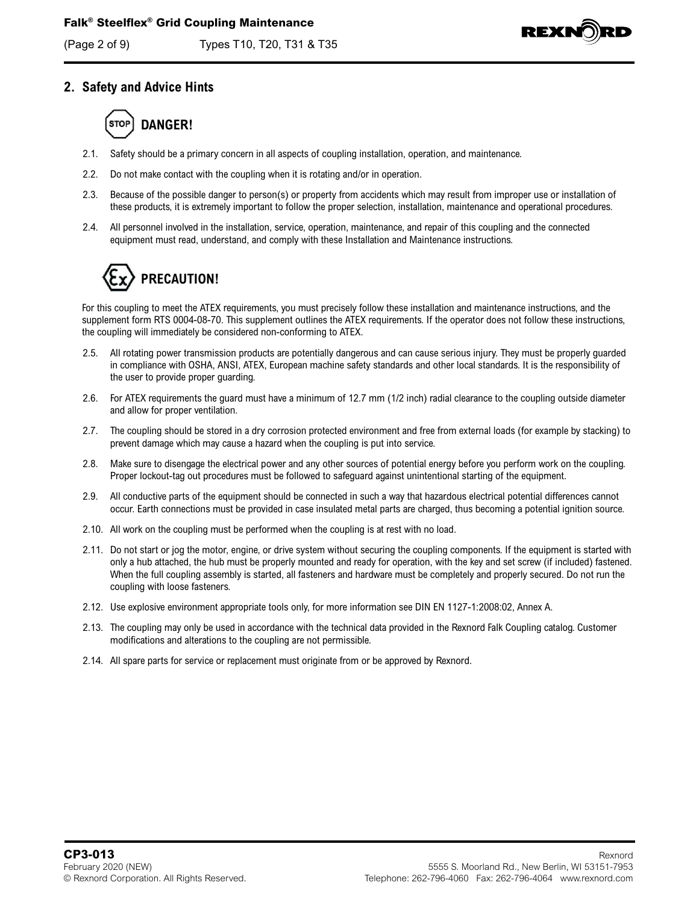

# **2. Safety and Advice Hints**



- 2.1. Safety should be a primary concern in all aspects of coupling installation, operation, and maintenance.
- 2.2. Do not make contact with the coupling when it is rotating and/or in operation.
- 2.3. Because of the possible danger to person(s) or property from accidents which may result from improper use or installation of these products, it is extremely important to follow the proper selection, installation, maintenance and operational procedures.
- 2.4. All personnel involved in the installation, service, operation, maintenance, and repair of this coupling and the connected equipment must read, understand, and comply with these Installation and Maintenance instructions.

# **PRECAUTION!**

For this coupling to meet the ATEX requirements, you must precisely follow these installation and maintenance instructions, and the supplement form RTS 0004-08-70. This supplement outlines the ATEX requirements. If the operator does not follow these instructions, the coupling will immediately be considered non-conforming to ATEX.

- 2.5. All rotating power transmission products are potentially dangerous and can cause serious injury. They must be properly guarded in compliance with OSHA, ANSI, ATEX, European machine safety standards and other local standards. It is the responsibility of the user to provide proper guarding.
- 2.6. For ATEX requirements the guard must have a minimum of 12.7 mm (1/2 inch) radial clearance to the coupling outside diameter and allow for proper ventilation.
- 2.7. The coupling should be stored in a dry corrosion protected environment and free from external loads (for example by stacking) to prevent damage which may cause a hazard when the coupling is put into service.
- 2.8. Make sure to disengage the electrical power and any other sources of potential energy before you perform work on the coupling. Proper lockout-tag out procedures must be followed to safeguard against unintentional starting of the equipment.
- 2.9. All conductive parts of the equipment should be connected in such a way that hazardous electrical potential differences cannot occur. Earth connections must be provided in case insulated metal parts are charged, thus becoming a potential ignition source.
- 2.10. All work on the coupling must be performed when the coupling is at rest with no load.
- 2.11. Do not start or jog the motor, engine, or drive system without securing the coupling components. If the equipment is started with only a hub attached, the hub must be properly mounted and ready for operation, with the key and set screw (if included) fastened. When the full coupling assembly is started, all fasteners and hardware must be completely and properly secured. Do not run the coupling with loose fasteners.
- 2.12. Use explosive environment appropriate tools only, for more information see DIN EN 1127-1:2008:02, Annex A.
- 2.13. The coupling may only be used in accordance with the technical data provided in the Rexnord Falk Coupling catalog. Customer modifications and alterations to the coupling are not permissible.
- 2.14. All spare parts for service or replacement must originate from or be approved by Rexnord.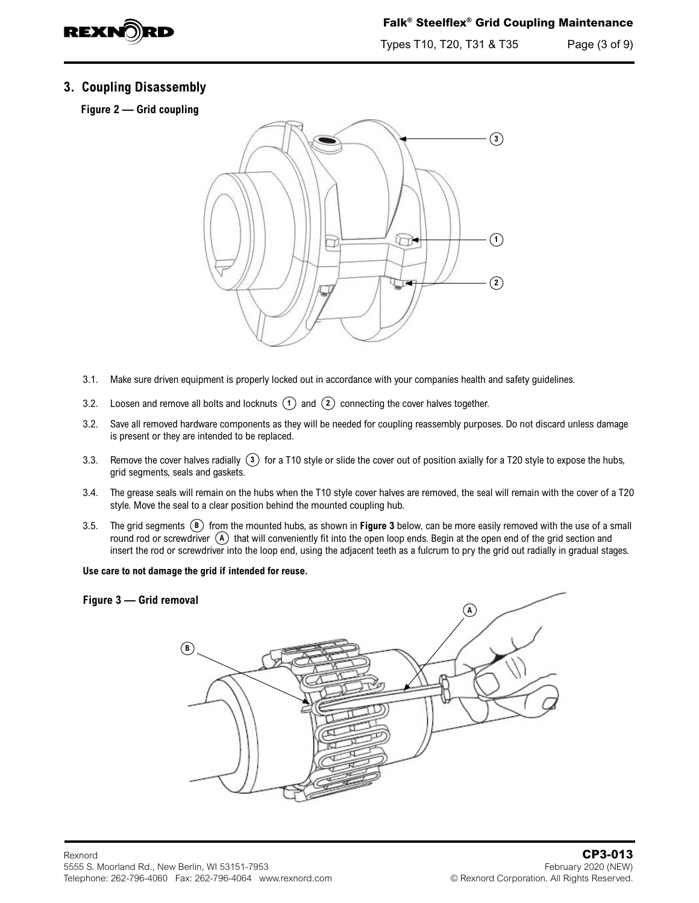

Types T10, T20, T31 & T35 Page (3 of 9)

## **3. Coupling Disassembly**

**Figure 2 — Grid coupling**



- 3.1. Make sure driven equipment is properly locked out in accordance with your companies health and safety guidelines.
- 3.2. Loosen and remove all bolts and locknuts **1** and **2** connecting the cover halves together.
- 3.2. Save all removed hardware components as they will be needed for coupling reassembly purposes. Do not discard unless damage is present or they are intended to be replaced.
- 3.3. Remove the cover halves radially **3** for a T10 style or slide the cover out of position axially for a T20 style to expose the hubs, grid segments, seals and gaskets.
- 3.4. The grease seals will remain on the hubs when the T10 style cover halves are removed, the seal will remain with the cover of a T20 style. Move the seal to a clear position behind the mounted coupling hub.
- 3.5. The grid segments **B** from the mounted hubs, as shown in **Figure 3** below, can be more easily removed with the use of a small round rod or screwdriver  $\overline{A}$  that will conveniently fit into the open loop ends. Begin at the open end of the grid section and insert the rod or screwdriver into the loop end, using the adjacent teeth as a fulcrum to pry the grid out radially in gradual stages.

**Use care to not damage the grid if intended for reuse.**

#### **Figure 3 — Grid removal**

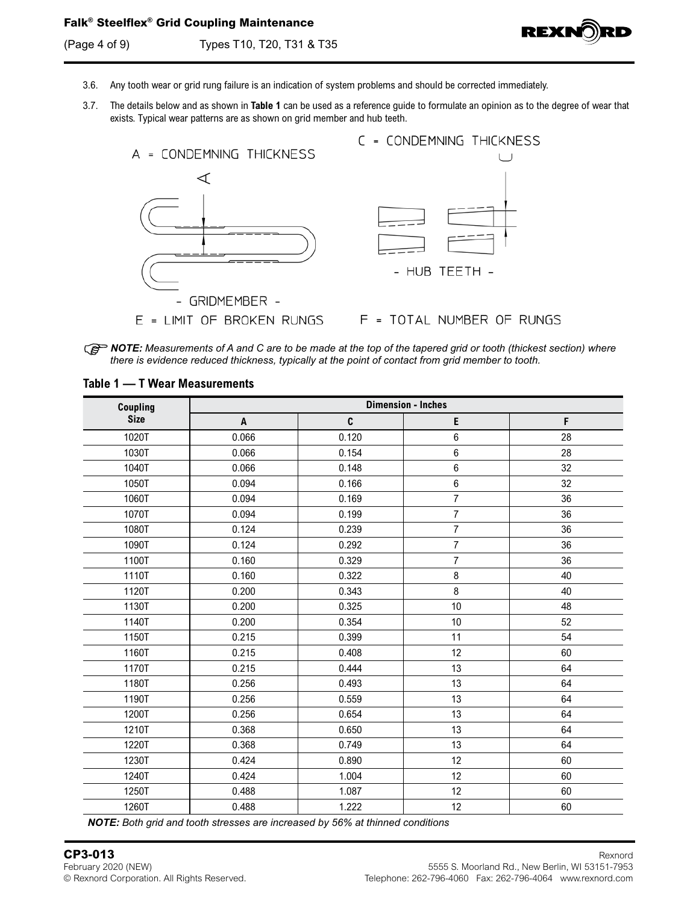(Page 4 of 9) Types T10, T20, T31 & T35



- 3.6. Any tooth wear or grid rung failure is an indication of system problems and should be corrected immediately.
- 3.7. The details below and as shown in **Table 1** can be used as a reference guide to formulate an opinion as to the degree of wear that exists. Typical wear patterns are as shown on grid member and hub teeth.



*R***P NOTE:** Measurements of A and C are to be made at the top of the tapered grid or tooth (thickest section) where *there is evidence reduced thickness, typically at the point of contact from grid member to tooth.*

| Coupling    | <b>Dimension - Inches</b> |       |                |    |  |  |  |  |  |  |
|-------------|---------------------------|-------|----------------|----|--|--|--|--|--|--|
| <b>Size</b> | A                         | C     | E              | F  |  |  |  |  |  |  |
| 1020T       | 0.066                     | 0.120 | $\,6\,$        | 28 |  |  |  |  |  |  |
| 1030T       | 0.066                     | 0.154 | $\,6$          | 28 |  |  |  |  |  |  |
| 1040T       | 0.066                     | 0.148 | 6              | 32 |  |  |  |  |  |  |
| 1050T       | 0.094                     | 0.166 | $\,6\,$        | 32 |  |  |  |  |  |  |
| 1060T       | 0.094                     | 0.169 | $\overline{7}$ | 36 |  |  |  |  |  |  |
| 1070T       | 0.094                     | 0.199 | $\overline{7}$ | 36 |  |  |  |  |  |  |
| 1080T       | 0.124                     | 0.239 | $\overline{7}$ | 36 |  |  |  |  |  |  |
| 1090T       | 0.124                     | 0.292 | $\overline{7}$ | 36 |  |  |  |  |  |  |
| 1100T       | 0.160                     | 0.329 | $\overline{7}$ | 36 |  |  |  |  |  |  |
| 1110T       | 0.160                     | 0.322 | $\bf 8$        | 40 |  |  |  |  |  |  |
| 1120T       | 0.200                     | 0.343 | 8              | 40 |  |  |  |  |  |  |
| 1130T       | 0.200                     | 0.325 | 10             | 48 |  |  |  |  |  |  |
| 1140T       | 0.200                     | 0.354 | 10             | 52 |  |  |  |  |  |  |
| 1150T       | 0.215                     | 0.399 | 11             | 54 |  |  |  |  |  |  |
| 1160T       | 0.215                     | 0.408 | 12             | 60 |  |  |  |  |  |  |
| 1170T       | 0.215                     | 0.444 | 13             | 64 |  |  |  |  |  |  |
| 1180T       | 0.256                     | 0.493 | 13             | 64 |  |  |  |  |  |  |
| 1190T       | 0.256                     | 0.559 | 13             | 64 |  |  |  |  |  |  |
| 1200T       | 0.256                     | 0.654 | 13             | 64 |  |  |  |  |  |  |
| 1210T       | 0.368                     | 0.650 | 13             | 64 |  |  |  |  |  |  |
| 1220T       | 0.368                     | 0.749 | 13             | 64 |  |  |  |  |  |  |
| 1230T       | 0.424                     | 0.890 | 12             | 60 |  |  |  |  |  |  |
| 1240T       | 0.424                     | 1.004 | 12             | 60 |  |  |  |  |  |  |
| 1250T       | 0.488                     | 1.087 | 12             | 60 |  |  |  |  |  |  |
| 1260T       | 0.488                     | 1.222 | 12             | 60 |  |  |  |  |  |  |

#### **Table 1 — T Wear Measurements**

*NOTE: Both grid and tooth stresses are increased by 56% at thinned conditions*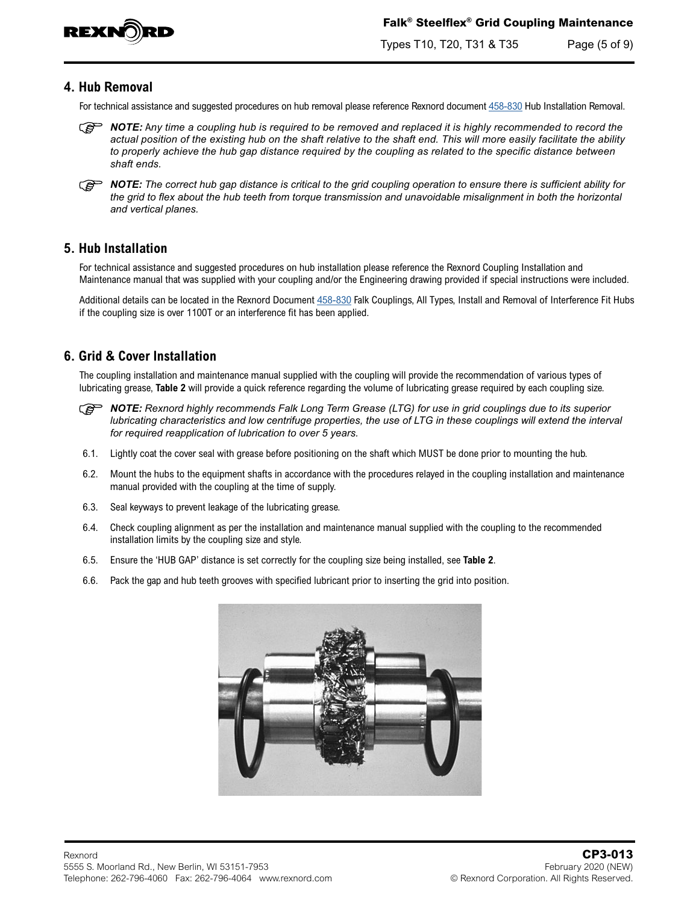

Types T10, T20, T31 & T35 Page (5 of 9)

## **4. Hub Removal**

For technical assistance and suggested procedures on hub removal please reference Rexnord document [458-830](https://www.rexnord.com/contentitems/techlibrary/documents/458-830_manual) Hub Installation Removal.

- *C* **NOTE:** Any time a coupling hub is required to be removed and replaced it is highly recommended to record the *actual position of the existing hub on the shaft relative to the shaft end. This will more easily facilitate the ability to properly achieve the hub gap distance required by the coupling as related to the specific distance between shaft ends.*
- *C* **NOTE:** The correct hub gap distance is critical to the grid coupling operation to ensure there is sufficient ability for *the grid to flex about the hub teeth from torque transmission and unavoidable misalignment in both the horizontal and vertical planes.*

## **5. Hub Installation**

For technical assistance and suggested procedures on hub installation please reference the Rexnord Coupling Installation and Maintenance manual that was supplied with your coupling and/or the Engineering drawing provided if special instructions were included.

Additional details can be located in the Rexnord Document [458-830](https://www.rexnord.com/contentitems/techlibrary/documents/458-830_manual) Falk Couplings, All Types, Install and Removal of Interference Fit Hubs if the coupling size is over 1100T or an interference fit has been applied.

## **6. Grid & Cover Installation**

The coupling installation and maintenance manual supplied with the coupling will provide the recommendation of various types of lubricating grease, **[Table 2](#page-7-0)** will provide a quick reference regarding the volume of lubricating grease required by each coupling size.

- *C***<sub>C</sub> NOTE:** Rexnord highly recommends Falk Long Term Grease (LTG) for use in grid couplings due to its superior *lubricating characteristics and low centrifuge properties, the use of LTG in these couplings will extend the interval for required reapplication of lubrication to over 5 years.*
- 6.1. Lightly coat the cover seal with grease before positioning on the shaft which MUST be done prior to mounting the hub.
- 6.2. Mount the hubs to the equipment shafts in accordance with the procedures relayed in the coupling installation and maintenance manual provided with the coupling at the time of supply.
- 6.3. Seal keyways to prevent leakage of the lubricating grease.
- 6.4. Check coupling alignment as per the installation and maintenance manual supplied with the coupling to the recommended installation limits by the coupling size and style.
- 6.5. Ensure the 'HUB GAP' distance is set correctly for the coupling size being installed, see **[Table 2](#page-7-0)**.
- 6.6. Pack the gap and hub teeth grooves with specified lubricant prior to inserting the grid into position.

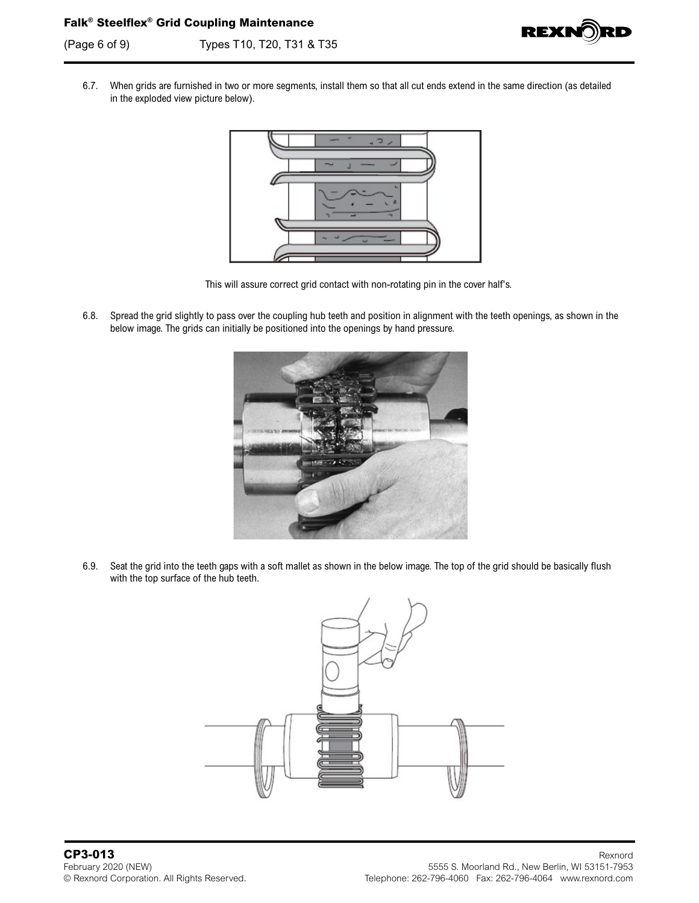(Page 6 of 9) Types T10, T20, T31 & T35



6.7. When grids are furnished in two or more segments, install them so that all cut ends extend in the same direction (as detailed in the exploded view picture below).



This will assure correct grid contact with non-rotating pin in the cover half's.

6.8. Spread the grid slightly to pass over the coupling hub teeth and position in alignment with the teeth openings, as shown in the below image. The grids can initially be positioned into the openings by hand pressure.



6.9. Seat the grid into the teeth gaps with a soft mallet as shown in the below image. The top of the grid should be basically flush with the top surface of the hub teeth.

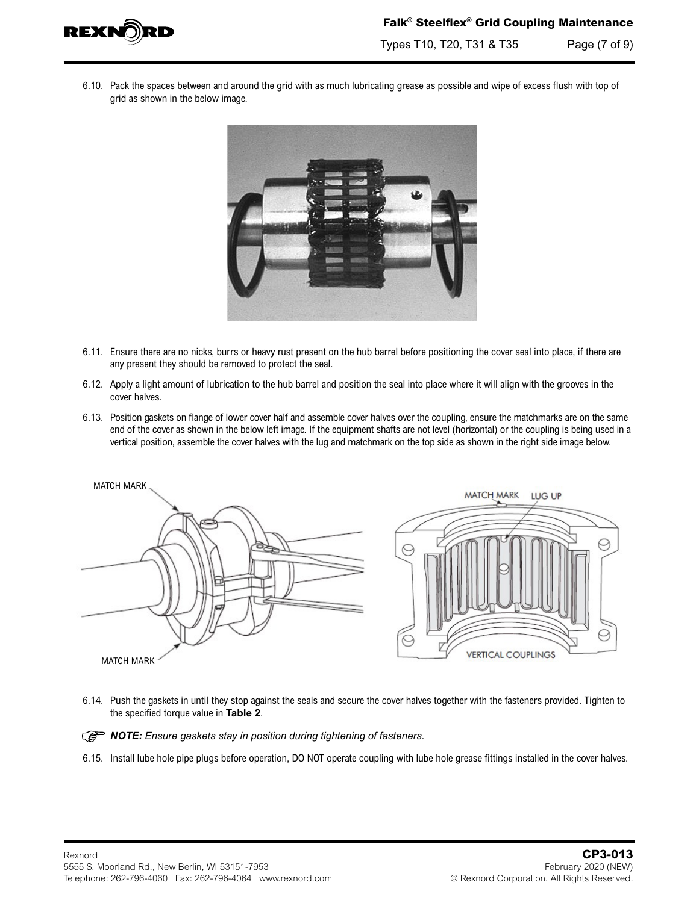

Types T10, T20, T31 & T35 Page (7 of 9)

6.10. Pack the spaces between and around the grid with as much lubricating grease as possible and wipe of excess flush with top of grid as shown in the below image.



- 6.11. Ensure there are no nicks, burrs or heavy rust present on the hub barrel before positioning the cover seal into place, if there are any present they should be removed to protect the seal.
- 6.12. Apply a light amount of lubrication to the hub barrel and position the seal into place where it will align with the grooves in the cover halves.
- 6.13. Position gaskets on flange of lower cover half and assemble cover halves over the coupling, ensure the matchmarks are on the same end of the cover as shown in the below left image. If the equipment shafts are not level (horizontal) or the coupling is being used in a vertical position, assemble the cover halves with the lug and matchmark on the top side as shown in the right side image below.



6.14. Push the gaskets in until they stop against the seals and secure the cover halves together with the fasteners provided. Tighten to the specified torque value in **[Table 2](#page-7-0)**.

*<u> <i>NOTE: Ensure gaskets stay in position during tightening of fasteners.*</u>

6.15. Install lube hole pipe plugs before operation, DO NOT operate coupling with lube hole grease fittings installed in the cover halves.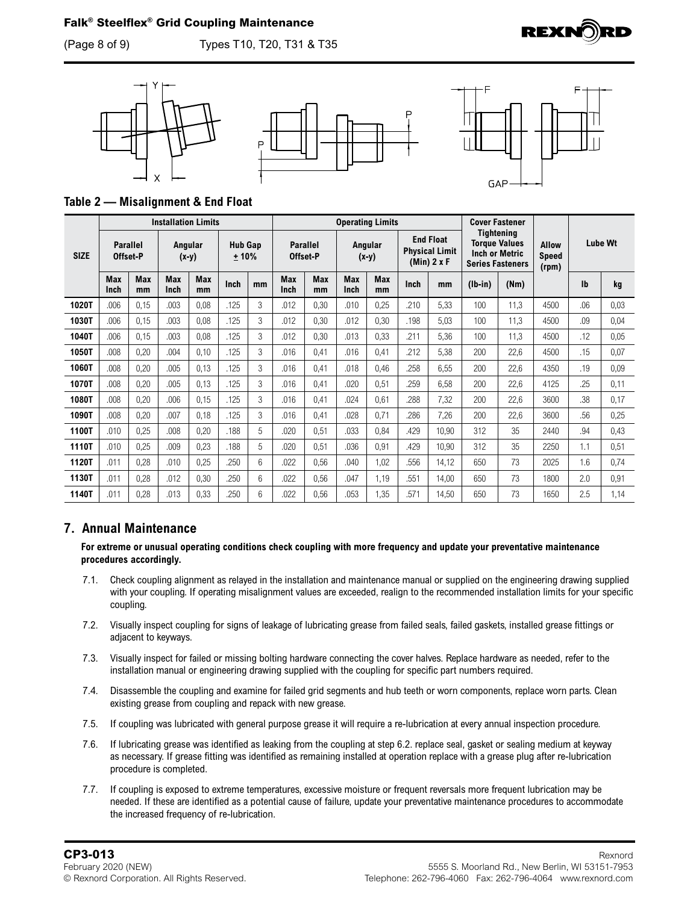(Page 8 of 9) Types T10, T20, T31 & T35









<span id="page-7-0"></span>**Table 2 — Misalignment & End Float**

|             | <b>Installation Limits</b>  |           |                    |                  |                          | <b>Operating Limits</b> |                             |                  |                    |           | <b>Cover Fastener</b>                                      |       |                                                                                        |      |                                       |                |      |
|-------------|-----------------------------|-----------|--------------------|------------------|--------------------------|-------------------------|-----------------------------|------------------|--------------------|-----------|------------------------------------------------------------|-------|----------------------------------------------------------------------------------------|------|---------------------------------------|----------------|------|
| <b>SIZE</b> | <b>Parallel</b><br>Offset-P |           | Angular<br>$(x-y)$ |                  | <b>Hub Gap</b><br>$+10%$ |                         | <b>Parallel</b><br>Offset-P |                  | Angular<br>$(x-y)$ |           | <b>End Float</b><br><b>Physical Limit</b><br>$(Min)$ 2 x F |       | Tightening<br><b>Torque Values</b><br><b>Inch or Metric</b><br><b>Series Fasteners</b> |      | <b>Allow</b><br><b>Speed</b><br>(rpm) | <b>Lube Wt</b> |      |
|             | <b>Max</b><br>Inch          | Max<br>mm | <b>Max</b><br>Inch | <b>Max</b><br>mm | Inch                     | mm                      | <b>Max</b><br>Inch          | <b>Max</b><br>mm | <b>Max</b><br>Inch | Max<br>mm | Inch                                                       | mm    | $(lb-in)$                                                                              | (Nm) |                                       | lb             | kg   |
| 1020T       | .006                        | 0,15      | .003               | 0,08             | .125                     | 3                       | .012                        | 0,30             | .010               | 0,25      | .210                                                       | 5,33  | 100                                                                                    | 11,3 | 4500                                  | .06            | 0,03 |
| 1030T       | .006                        | 0,15      | .003               | 0,08             | .125                     | 3                       | .012                        | 0,30             | .012               | 0,30      | .198                                                       | 5,03  | 100                                                                                    | 11,3 | 4500                                  | .09            | 0,04 |
| 1040T       | .006                        | 0,15      | .003               | 0,08             | .125                     | 3                       | .012                        | 0,30             | .013               | 0,33      | .211                                                       | 5,36  | 100                                                                                    | 11,3 | 4500                                  | .12            | 0,05 |
| 1050T       | .008                        | 0,20      | .004               | 0,10             | .125                     | 3                       | .016                        | 0,41             | .016               | 0,41      | 212                                                        | 5,38  | 200                                                                                    | 22,6 | 4500                                  | .15            | 0,07 |
| 1060T       | .008                        | 0,20      | .005               | 0,13             | .125                     | 3                       | .016                        | 0,41             | .018               | 0,46      | .258                                                       | 6,55  | 200                                                                                    | 22,6 | 4350                                  | .19            | 0,09 |
| 1070T       | .008                        | 0,20      | .005               | 0,13             | .125                     | 3                       | .016                        | 0,41             | .020               | 0,51      | .259                                                       | 6,58  | 200                                                                                    | 22,6 | 4125                                  | .25            | 0,11 |
| 1080T       | .008                        | 0,20      | .006               | 0,15             | .125                     | 3                       | .016                        | 0,41             | .024               | 0,61      | .288                                                       | 7,32  | 200                                                                                    | 22,6 | 3600                                  | .38            | 0,17 |
| 1090T       | .008                        | 0,20      | .007               | 0,18             | .125                     | 3                       | .016                        | 0,41             | .028               | 0,71      | .286                                                       | 7,26  | 200                                                                                    | 22,6 | 3600                                  | .56            | 0,25 |
| 1100T       | .010                        | 0,25      | .008               | 0,20             | .188                     | 5                       | .020                        | 0,51             | .033               | 0,84      | .429                                                       | 10,90 | 312                                                                                    | 35   | 2440                                  | .94            | 0,43 |
| 1110T       | .010                        | 0,25      | .009               | 0,23             | .188                     | 5                       | .020                        | 0,51             | .036               | 0,91      | .429                                                       | 10,90 | 312                                                                                    | 35   | 2250                                  | 1.1            | 0,51 |
| 1120T       | .011                        | 0,28      | .010               | 0,25             | .250                     | 6                       | .022                        | 0,56             | .040               | 1,02      | .556                                                       | 14,12 | 650                                                                                    | 73   | 2025                                  | 1.6            | 0,74 |
| 1130T       | .011                        | 0,28      | .012               | 0,30             | .250                     | 6                       | .022                        | 0,56             | .047               | 1,19      | .551                                                       | 14,00 | 650                                                                                    | 73   | 1800                                  | 2.0            | 0,91 |
| 1140T       | .011                        | 0,28      | .013               | 0,33             | .250                     | 6                       | .022                        | 0,56             | .053               | 1,35      | 571                                                        | 14,50 | 650                                                                                    | 73   | 1650                                  | 2.5            | 1,14 |

## **7. Annual Maintenance**

#### **For extreme or unusual operating conditions check coupling with more frequency and update your preventative maintenance procedures accordingly.**

- 7.1. Check coupling alignment as relayed in the installation and maintenance manual or supplied on the engineering drawing supplied with your coupling. If operating misalignment values are exceeded, realign to the recommended installation limits for your specific coupling.
- 7.2. Visually inspect coupling for signs of leakage of lubricating grease from failed seals, failed gaskets, installed grease fittings or adjacent to keyways.
- 7.3. Visually inspect for failed or missing bolting hardware connecting the cover halves. Replace hardware as needed, refer to the installation manual or engineering drawing supplied with the coupling for specific part numbers required.
- 7.4. Disassemble the coupling and examine for failed grid segments and hub teeth or worn components, replace worn parts. Clean existing grease from coupling and repack with new grease.
- 7.5. If coupling was lubricated with general purpose grease it will require a re-lubrication at every annual inspection procedure.
- 7.6. If lubricating grease was identified as leaking from the coupling at step 6.2. replace seal, gasket or sealing medium at keyway as necessary. If grease fitting was identified as remaining installed at operation replace with a grease plug after re-lubrication procedure is completed.
- 7.7. If coupling is exposed to extreme temperatures, excessive moisture or frequent reversals more frequent lubrication may be needed. If these are identified as a potential cause of failure, update your preventative maintenance procedures to accommodate the increased frequency of re-lubrication.